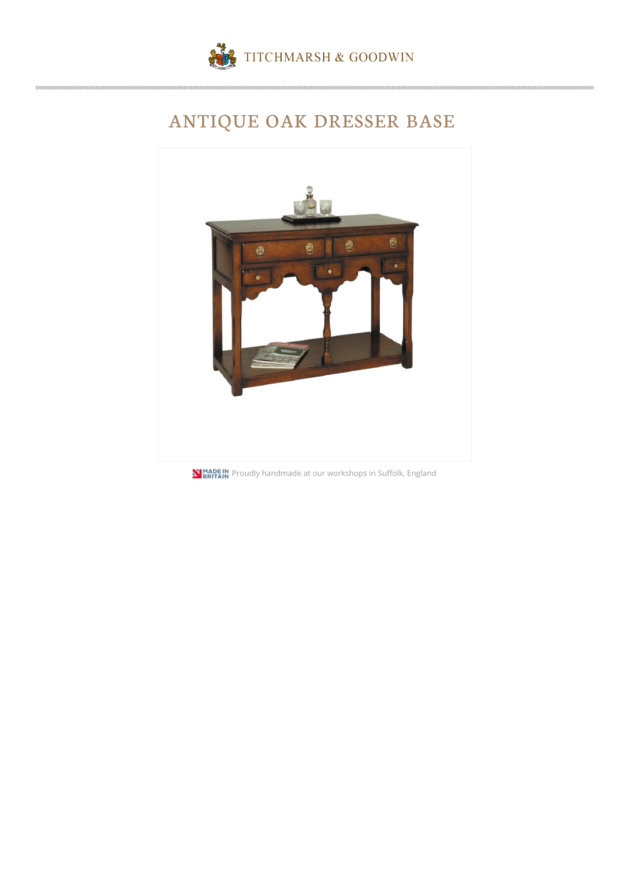

## ANTIQUE OAK DRESSER BASE